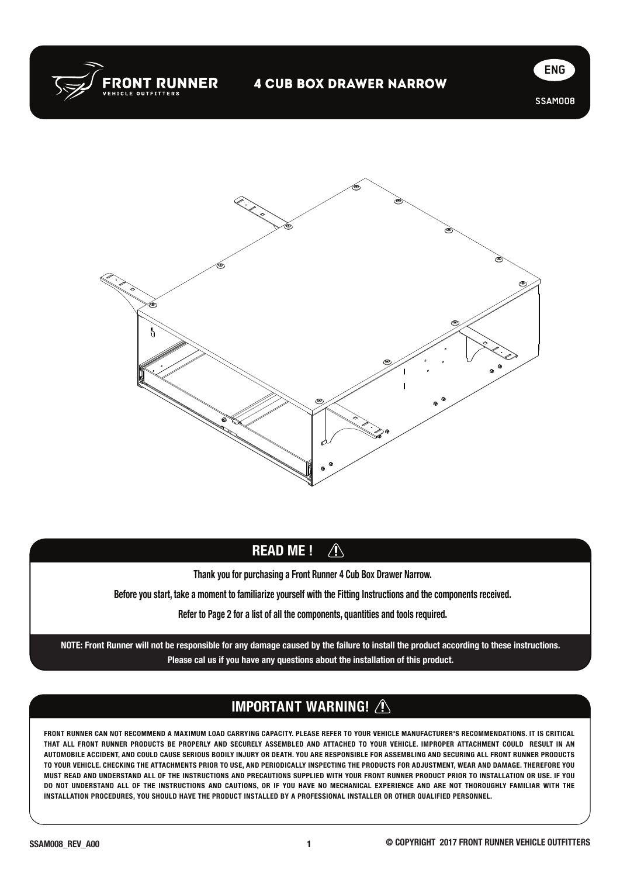



## **READ ME!**

Thank you for purchasing a Front Runner 4 Cub Box Drawer Narrow.<br>All the contract of the contract of the contract of the contract of the contract of the contract of the contra

Before you start, take a moment to familiarize yourself with the Fitting Instructions and the components received.

Refer to Page 2 for a list of all the components, quantities and tools required.

NOTE: Front Runner will not be responsible for any damage caused by the failure to install the product according to these instructions. Please cal us if you have any questions about the installation of this product.

## IMPORTANT WARNING!

FRONT RUNNER CAN NOT RECOMMEND A MAXIMUM LOAD CARRYING CAPACITY. PLEASE REFER TO YOUR VEHICLE MANUFACTURER'S RECOMMENDATIONS. IT IS CRITICAL THAT ALL FRONT RUNNER PRODUCTS BE PROPERLY AND SECURELY ASSEMBLED AND ATTACHED TO YOUR VEHICLE. IMPROPER ATTACHMENT COULD RESULT IN AN AUTOMOBILE ACCIDENT, AND COULD CAUSE SERIOUS BODILY INJURY OR DEATH. YOU ARE RESPONSIBLE FOR ASSEMBLING AND SECURING ALL FRONT RUNNER PRODUCTS TO YOUR VEHICLE. CHECKING THE ATTACHMENTS PRIOR TO USE, AND PERIODICALLY INSPECTING THE PRODUCTS FOR ADJUSTMENT, WEAR AND DAMAGE. THEREFORE YOU MUST READ AND UNDERSTAND ALL OF THE INSTRUCTIONS AND PRECAUTIONS SUPPLIED WITH YOUR FRONT RUNNER PRODUCT PRIOR TO INSTALLATION OR USE. IF YOU DO NOT UNDERSTAND ALL OF THE INSTRUCTIONS AND CAUTIONS, OR IF YOU HAVE NO MECHANICAL EXPERIENCE AND ARE NOT THOROUGHLY FAMILIAR WITH THE INSTALLATION PROCEDURES, YOU SHOULD HAVE THE PRODUCT INSTALLED BY A PROFESSIONAL INSTALLER OR OTHER QUALIFIED PERSONNEL.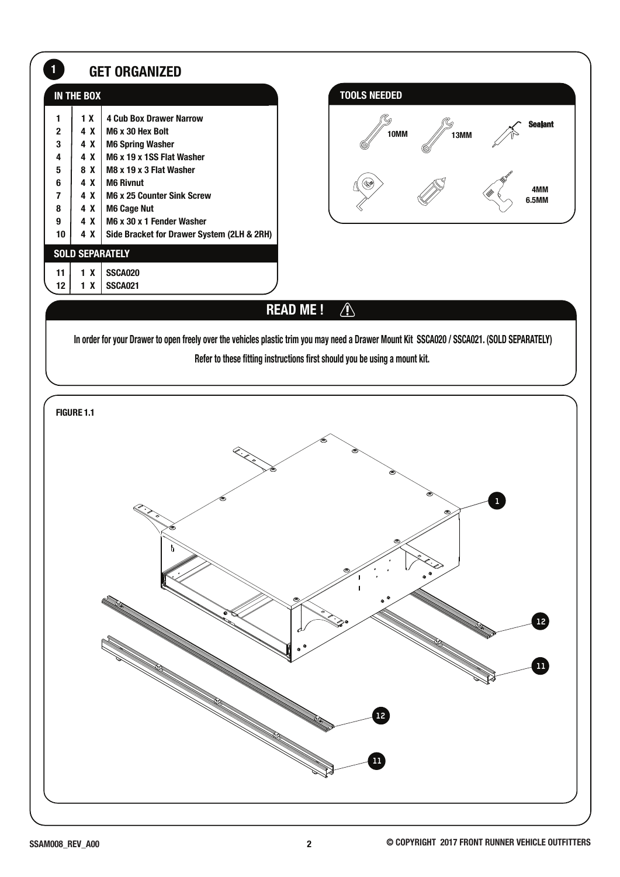

In order for your Drawer to open freely over the vehicles plastic trim you may need a Drawer Mount Kit SSCA020 / SSCA021. (SOLD SEPARATELY)

Refer to these fitting instructions first should you be using a mount kit.

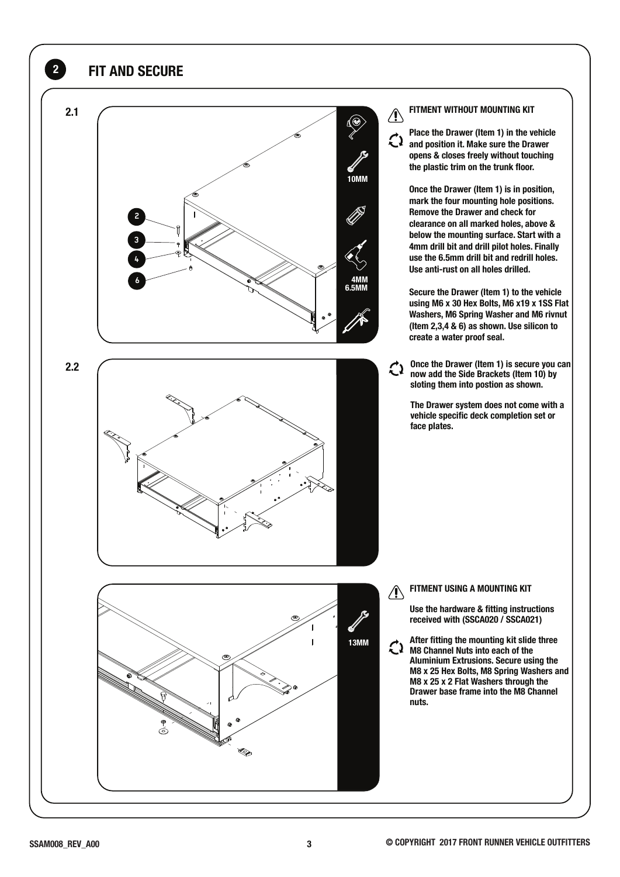